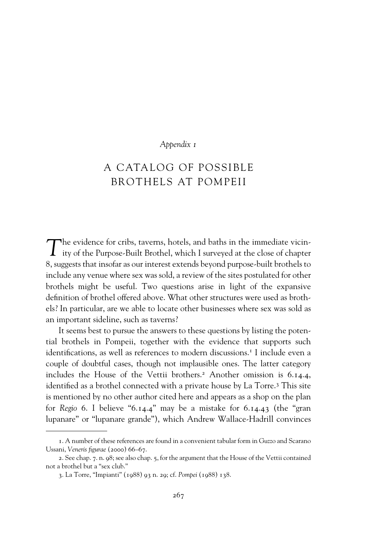## *Appendix 1*

## A CATALOG OF POSSIBLE BROTHELS AT POMPEII

The evidence for cribs, taverns, hotels, and baths in the immediate vicin-<br>ity of the Purpose-Built Brothel, which I surveyed at the close of chapter 8, suggests that insofar as our interest extends beyond purpose-built brothels to include any venue where sex was sold, a review of the sites postulated for other brothels might be useful. Two questions arise in light of the expansive definition of brothel offered above. What other structures were used as brothels? In particular, are we able to locate other businesses where sex was sold as an important sideline, such as taverns?

It seems best to pursue the answers to these questions by listing the potential brothels in Pompeii, together with the evidence that supports such identifications, as well as references to modern discussions.<sup>1</sup> I include even a couple of doubtful cases, though not implausible ones. The latter category includes the House of the Vettii brothers.2 Another omission is 6.14.4, identified as a brothel connected with a private house by La Torre.<sup>3</sup> This site is mentioned by no other author cited here and appears as a shop on the plan for *Regio* 6. I believe "6.14.4" may be a mistake for 6.14.43 (the "gran lupanare" or "lupanare grande"), which Andrew Wallace-Hadrill convinces

<sup>1.</sup> A number of these references are found in a convenient tabular form in Guzzo and Scarano Ussani, *Veneris figurae* (2000) 66-67.

<sup>2.</sup> See chap. 7. n. 98; see also chap. 5, for the argument that the House of the Vettii contained not a brothel but a "sex club."

<sup>3.</sup> La Torre, "Impianti" (1988) 93 n. 29; cf. *Pompei* (1988) 138.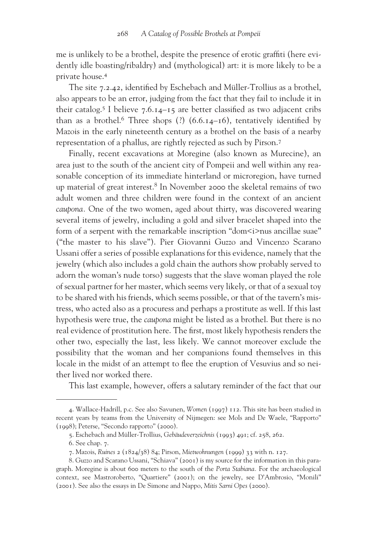me is unlikely to be a brothel, despite the presence of erotic graffiti (here evidently idle boasting/ribaldry) and (mythological) art: it is more likely to be a private house.4

The site 7.2.42, identified by Eschebach and Müller-Trollius as a brothel, also appears to be an error, judging from the fact that they fail to include it in their catalog.<sup>5</sup> I believe  $7.6.14 - 15$  are better classified as two adjacent cribs than as a brothel.<sup>6</sup> Three shops (?) (6.6.14–16), tentatively identified by Mazois in the early nineteenth century as a brothel on the basis of a nearby representation of a phallus, are rightly rejected as such by Pirson.7

Finally, recent excavations at Moregine (also known as Murecine), an area just to the south of the ancient city of Pompeii and well within any reasonable conception of its immediate hinterland or microregion, have turned up material of great interest.8 In November 2000 the skeletal remains of two adult women and three children were found in the context of an ancient *caupona.* One of the two women, aged about thirty, was discovered wearing several items of jewelry, including a gold and silver bracelet shaped into the form of a serpent with the remarkable inscription "dom<i>nus ancillae suae" ("the master to his slave"). Pier Giovanni Guzzo and Vincenzo Scarano Ussani offer a series of possible explanations for this evidence, namely that the jewelry (which also includes a gold chain the authors show probably served to adorn the woman's nude torso) suggests that the slave woman played the role of sexual partner for her master, which seems very likely, or that of a sexual toy to be shared with his friends, which seems possible, or that of the tavern's mistress, who acted also as a procuress and perhaps a prostitute as well. If this last hypothesis were true, the *caupona* might be listed as a brothel. But there is no real evidence of prostitution here. The first, most likely hypothesis renders the other two, especially the last, less likely. We cannot moreover exclude the possibility that the woman and her companions found themselves in this locale in the midst of an attempt to flee the eruption of Vesuvius and so neither lived nor worked there.

This last example, however, offers a salutary reminder of the fact that our

<sup>4.</sup> Wallace-Hadrill, p.c. See also Savunen, *Women* (1997) 112. This site has been studied in recent years by teams from the University of Nijmegen: see Mols and De Waele, "Rapporto" (1998); Peterse, "Secondo rapporto" (2000).

<sup>5.</sup> Eschebach and Müller-Trollius, *Gebäudeverzeichnis* (1993) 491; cf. 258, 262.

<sup>6.</sup> See chap. 7.

<sup>7.</sup> Mazois, *Ruines* 2 (1824/38) 84; Pirson, *Mietwohnungen* (1999) 33 with n. 127.

<sup>8.</sup> Guzzo and Scarano Ussani, "Schiava" (2001) is my source for the information in this paragraph. Moregine is about 600 meters to the south of the *Porta Stabiana.* For the archaeological context, see Mastroroberto, "Quartiere" (2001); on the jewelry, see D'Ambrosio, "Monili" (2001). See also the essays in De Simone and Nappo, *Mitis Sarni Opes* (2000).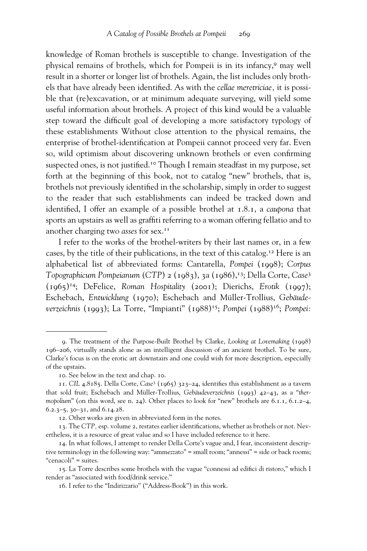knowledge of Roman brothels is susceptible to change. Investigation of the physical remains of brothels, which for Pompeii is in its infancy,9 may well result in a shorter or longer list of brothels. Again, the list includes only brothels that have already been identified. As with the *cellae meretriciae*, it is possible that (re)excavation, or at minimum adequate surveying, will yield some useful information about brothels. A project of this kind would be a valuable step toward the difficult goal of developing a more satisfactory typology of these establishments Without close attention to the physical remains, the enterprise of brothel-identification at Pompeii cannot proceed very far. Even so, wild optimism about discovering unknown brothels or even confirming suspected ones, is not justified.<sup>10</sup> Though I remain steadfast in my purpose, set forth at the beginning of this book, not to catalog "new" brothels, that is, brothels not previously identified in the scholarship, simply in order to suggest to the reader that such establishments can indeed be tracked down and identified, I offer an example of a possible brothel at 1.8.1, a *caupona* that sports an upstairs as well as graffiti referring to a woman offering fellatio and to another charging two *asses* for sex.11

I refer to the works of the brothel-writers by their last names or, in a few cases, by the title of their publications, in the text of this catalog.12 Here is an alphabetical list of abbreviated forms: Cantarella, *Pompei* (1998); *Corpus Topographicum Pompeianum* (*CTP*) 2 (1983), 3a (1986),13; Della Corte, *Case*<sup>3</sup> (1965)14; DeFelice, *Roman Hospitality* (2001); Dierichs, *Erotik* (1997); Eschebach, *Entwicklung* (1970); Eschebach and Müller-Trollius, *Gebäudeverzeichnis* (1993); La Torre, "Impianti" (1988)15; *Pompei* (1988)16; *Pompei:*

<sup>9.</sup> The treatment of the Purpose-Built Brothel by Clarke, *Looking at Lovemaking* (1998) 196–206, virtually stands alone as an intelligent discussion of an ancient brothel. To be sure, Clarke's focus is on the erotic art downstairs and one could wish for more description, especially of the upstairs.

<sup>10.</sup> See below in the text and chap. 10.

<sup>11.</sup> CIL 4.8185. Della Corte, Case<sup>3</sup> (1965) 323–24, identifies this establishment as a tavern that sold fruit; Eschebach and Müller-Trollius, *Gebäudeverzeichnis* (1993) 42–43, as a "*thermopolium*" (on this word, see n. 24). Other places to look for "new" brothels are 6.1.1, 6.1.2–4, 6.2.3–5, 30–31, and 6.14.28.

<sup>12.</sup> Other works are given in abbreviated form in the notes.

<sup>13.</sup> The *CTP*, esp. volume 2, restates earlier identifications, whether as brothels or not. Nevertheless, it is a resource of great value and so I have included reference to it here.

<sup>14.</sup> In what follows, I attempt to render Della Corte's vague and, I fear, inconsistent descriptive terminology in the following way: "ammezzato" = small room; "annessi" = side or back rooms; "cenacoli" = suites.

<sup>15.</sup> La Torre describes some brothels with the vague "connessi ad edifici di ristoro," which I render as "associated with food/drink service."

<sup>16.</sup> I refer to the "Indirizzario" ("Address-Book") in this work.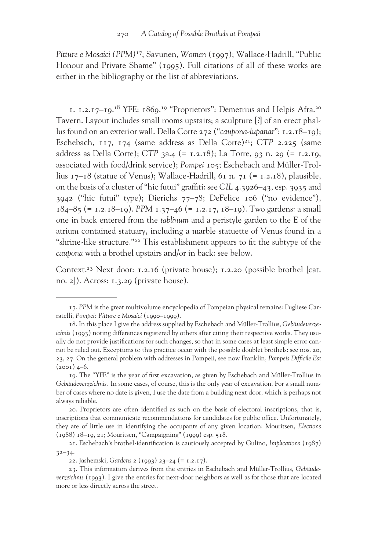*Pitture e Mosaici (PPM)*17; Savunen, *Women* (1997); Wallace-Hadrill, "Public Honour and Private Shame" (1995). Full citations of all of these works are either in the bibliography or the list of abbreviations.

1. 1.2.17–19.<sup>18</sup> YFE: 1869.<sup>19</sup> "Proprietors": Demetrius and Helpis Afra.<sup>20</sup> Tavern. Layout includes small rooms upstairs; a sculpture [?] of an erect phallus found on an exterior wall. Della Corte 272 ("*caupona-lupanar*": 1.2.18–19); Eschebach, 117, 174 (same address as Della Corte)<sup>21</sup>; CTP 2.225 (same address as Della Corte); *CTP* 3a.4 (= 1.2.18); La Torre, 93 n. 29 (= 1.2.19, associated with food/drink service); *Pompei* 105; Eschebach and Müller-Trollius  $17-18$  (statue of Venus); Wallace-Hadrill, 61 n. 71 (= 1.2.18), plausible, on the basis of a cluster of "hic futui" graffiti: see CIL 4.3926–43, esp. 3935 and 3942 ("hic futui" type); Dierichs 77–78; DeFelice 106 ("no evidence"), 184–85 (= 1.2.18–19). *PPM* 1.37–46 (= 1.2.17, 18–19). Two gardens: a small one in back entered from the *tablinum* and a peristyle garden to the E of the atrium contained statuary, including a marble statuette of Venus found in a "shrine-like structure."<sup>22</sup> This establishment appears to fit the subtype of the *caupona* with a brothel upstairs and/or in back: see below.

Context.23 Next door: 1.2.16 (private house); 1.2.20 (possible brothel [cat. no. 2]). Across: 1.3.29 (private house).

22. Jashemski, *Gardens* 2 (1993) 23–24 (= 1.2.17).

<sup>17.</sup> *PPM* is the great multivolume encyclopedia of Pompeian physical remains: Pugliese Carratelli, *Pompei: Pitture e Mosaici* (1990–1999).

<sup>18.</sup> In this place I give the address supplied by Eschebach and Müller-Trollius, *Gebäudeverzeichnis* (1993) noting differences registered by others after citing their respective works. They usually do not provide justifications for such changes, so that in some cases at least simple error cannot be ruled out. Exceptions to this practice occur with the possible doublet brothels: see nos. 20, 23, 27. On the general problem with addresses in Pompeii, see now Franklin, *Pompeis Difficile Est*  $(2001)$   $4-6$ .

<sup>19.</sup> The "YFE" is the year of first excavation, as given by Eschebach and Müller-Trollius in *Gebäudeverzeichnis.* In some cases, of course, this is the only year of excavation. For a small number of cases where no date is given, I use the date from a building next door, which is perhaps not always reliable.

<sup>20.</sup> Proprietors are often identified as such on the basis of electoral inscriptions, that is, inscriptions that communicate recommendations for candidates for public office. Unfortunately, they are of little use in identifying the occupants of any given location: Mouritsen, *Elections* (1988) 18–19, 21; Mouritsen, "Campaigning" (1999) esp. 518.

<sup>21.</sup> Eschebach's brothel-identification is cautiously accepted by Gulino, *Implications* (1987) 32–34.

<sup>23.</sup> This information derives from the entries in Eschebach and Müller-Trollius, *Gebäudeverzeichnis* (1993). I give the entries for next-door neighbors as well as for those that are located more or less directly across the street.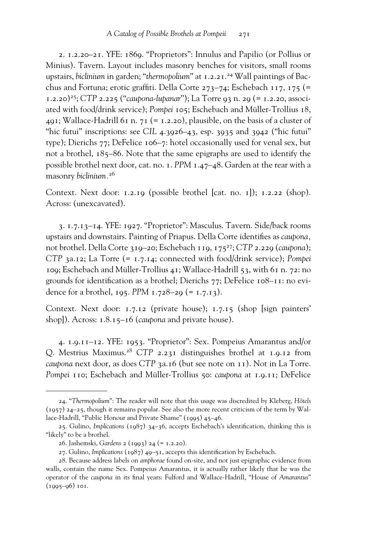2. 1.2.20–21. YFE: 1869. "Proprietors": Innulus and Papilio (or Pollius or Minius). Tavern. Layout includes masonry benches for visitors, small rooms upstairs, *biclinium* in garden; "thermopolium" at 1.2.21.<sup>24</sup> Wall paintings of Bacchus and Fortuna; erotic graffiti. Della Corte  $273-74$ ; Eschebach 117, 175 (= 1.2.20)25; *CTP* 2.225 ("*caupona-lupanar*"); La Torre 93 n. 29 (= 1.2.20, associated with food/drink service); *Pompei* 105; Eschebach and Müller-Trollius 18,  $491$ ; Wallace-Hadrill 61 n. 71 (= 1.2.20), plausible, on the basis of a cluster of "hic futui" inscriptions: see *CIL* 4.3926–43, esp. 3935 and 3942 ("hic futui" type); Dierichs 77; DeFelice 106–7: hotel occasionally used for venal sex, but not a brothel, 185–86. Note that the same epigraphs are used to identify the possible brothel next door, cat. no. 1. *PPM* 1.47–48. Garden at the rear with a masonry *biclinium.*<sup>26</sup>

Context. Next door: 1.2.19 (possible brothel [cat. no. 1]); 1.2.22 (shop). Across: (unexcavated).

3. 1.7.13–14. YFE: 1927. "Proprietor": Masculus. Tavern. Side/back rooms upstairs and downstairs. Painting of Priapus. Della Corte identifies as *caupona*, not brothel. Della Corte 319–20; Eschebach 119, 17527; *CTP* 2.229 (*caupona*); *CTP* 3a.12; La Torre (= 1.7.14; connected with food/drink service); *Pompei* 109; Eschebach and Müller-Trollius 41; Wallace-Hadrill 53, with 61 n. 72: no grounds for identification as a brothel; Dierichs  $77$ ; DeFelice  $108-11$ : no evidence for a brothel, 195. *PPM* 1.728–29 (= 1.7.13).

Context. Next door: 1.7.12 (private house); 1.7.15 (shop [sign painters' shop]). Across: 1.8.15–16 (*caupona* and private house).

4. 1.9.11–12. YFE: 1953. "Proprietor": Sex. Pompeius Amarantus and/or Q. Mestrius Maximus.28 *CTP* 2.231 distinguishes brothel at 1.9.12 from *caupona* next door, as does *CTP* 3a.16 (but see note on 11). Not in La Torre. *Pompei* 110; Eschebach and Müller-Trollius 50: *caupona* at 1.9.11; DeFelice

<sup>24. &</sup>quot;*Thermopolium*": The reader will note that this usage was discredited by Kleberg, *Hôtels* (1957) 24–25, though it remains popular. See also the more recent criticism of the term by Wallace-Hadrill, "Public Honour and Private Shame" (1995) 45–46.

<sup>25.</sup> Gulino, *Implications* (1987) 34–36, accepts Eschebach's identification, thinking this is "likely" to be a brothel.

<sup>26.</sup> Jashemski, *Gardens* 2 (1993) 24 (= 1.2.20).

<sup>27.</sup> Gulino, *Implications* (1987) 49–51, accepts this identification by Eschebach.

<sup>28.</sup> Because address labels on *amphorae* found on-site, and not just epigraphic evidence from walls, contain the name Sex. Pompeius Amarantus, it is actually rather likely that he was the operator of the *caupona* in its final years: Fulford and Wallace-Hadrill, "House of Amarantus" (1995–96) 101.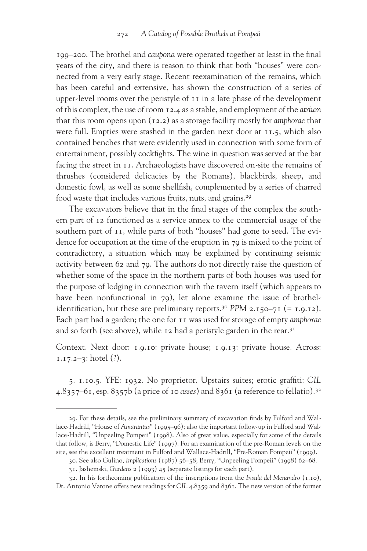199–200. The brothel and *caupona* were operated together at least in the final years of the city, and there is reason to think that both "houses" were connected from a very early stage. Recent reexamination of the remains, which has been careful and extensive, has shown the construction of a series of upper-level rooms over the peristyle of 11 in a late phase of the development of this complex, the use of room 12.4 as a stable, and employment of the *atrium* that this room opens upon (12.2) as a storage facility mostly for *amphorae* that were full. Empties were stashed in the garden next door at 11.5, which also contained benches that were evidently used in connection with some form of entertainment, possibly cockfights. The wine in question was served at the bar facing the street in 11. Archaeologists have discovered on-site the remains of thrushes (considered delicacies by the Romans), blackbirds, sheep, and domestic fowl, as well as some shellfish, complemented by a series of charred food waste that includes various fruits, nuts, and grains.<sup>29</sup>

The excavators believe that in the final stages of the complex the southern part of 12 functioned as a service annex to the commercial usage of the southern part of 11, while parts of both "houses" had gone to seed. The evidence for occupation at the time of the eruption in 79 is mixed to the point of contradictory, a situation which may be explained by continuing seismic activity between 62 and 79. The authors do not directly raise the question of whether some of the space in the northern parts of both houses was used for the purpose of lodging in connection with the tavern itself (which appears to have been nonfunctional in 79), let alone examine the issue of brothelidentification, but these are preliminary reports.<sup>30</sup> *PPM* 2.150–71 (= 1.9.12). Each part had a garden; the one for 11 was used for storage of empty *amphorae* and so forth (see above), while 12 had a peristyle garden in the rear.31

Context. Next door: 1.9.10: private house; 1.9.13: private house. Across: 1.17.2–3: hotel (?).

5. 1.10.5. YFE: 1932. No proprietor. Upstairs suites; erotic graffiti: CIL 4.8357–61, esp. 8357b (a price of 10 *asses*) and 8361 (a reference to fellatio).32

<sup>29.</sup> For these details, see the preliminary summary of excavation finds by Fulford and Wallace-Hadrill, "House of *Amarantus*" (1995–96); also the important follow-up in Fulford and Wallace-Hadrill, "Unpeeling Pompeii" (1998). Also of great value, especially for some of the details that follow, is Berry, "Domestic Life" (1997). For an examination of the pre-Roman levels on the site, see the excellent treatment in Fulford and Wallace-Hadrill, "Pre-Roman Pompeii" (1999).

<sup>30.</sup> See also Gulino, *Implications* (1987) 56–58; Berry, "Unpeeling Pompeii" (1998) 62–68.

<sup>31.</sup> Jashemski, *Gardens* 2 (1993) 45 (separate listings for each part).

<sup>32.</sup> In his forthcoming publication of the inscriptions from the *Insula del Menandro* (1.10), Dr. Antonio Varone offers new readings for *CIL* 4.8359 and 8361. The new version of the former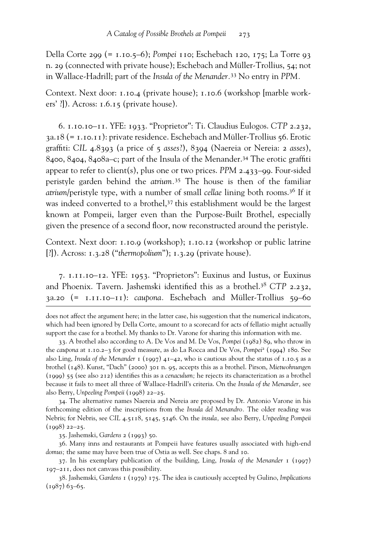Della Corte 299 (= 1.10.5–6); *Pompei* 110; Eschebach 120, 175; La Torre 93 n. 29 (connected with private house); Eschebach and Müller-Trollius, 54; not in Wallace-Hadrill; part of the *Insula of the Menander.*<sup>33</sup> No entry in *PPM.*

Context. Next door: 1.10.4 (private house); 1.10.6 (workshop [marble workers' ?]). Across: 1.6.15 (private house).

6. 1.10.10–11. YFE: 1933. "Proprietor": Ti. Claudius Eulogos. *CTP* 2.232, 3a.18 (= 1.10.11): private residence. Eschebach and Müller-Trollius 56. Erotic graffiti: *CIL* 4.8393 (a price of 5 *asses*?), 8394 (Naereia or Nereia: 2 *asses*),  $8400, 8404, 8408a-c$ ; part of the Insula of the Menander.<sup>34</sup> The erotic graffiti appear to refer to client(s), plus one or two prices. *PPM* 2.433–99. Four-sided peristyle garden behind the *atrium.*<sup>35</sup> The house is then of the familiar *atrium*/peristyle type, with a number of small *cellae* lining both rooms.36 If it was indeed converted to a brothel,<sup>37</sup> this establishment would be the largest known at Pompeii, larger even than the Purpose-Built Brothel, especially given the presence of a second floor, now reconstructed around the peristyle.

Context. Next door: 1.10.9 (workshop); 1.10.12 (workshop or public latrine [?]). Across: 1.3.28 ("*thermopolium*"); 1.3.29 (private house).

7. 1.11.10–12. YFE: 1953. "Proprietors": Euxinus and Iustus, or Euxinus and Phoenix. Tavern. Jashemski identified this as a brothel.<sup>38</sup> CTP 2.232, 3a.20 (= 1.11.10–11): *caupona.* Eschebach and Müller-Trollius 59–60

34. The alternative names Naereia and Nereia are proposed by Dr. Antonio Varone in his forthcoming edition of the inscriptions from the *Insula del Menandro.* The older reading was Nebris; for Nebris, see *CIL* 4.5118, 5145, 5146. On the *insula,* see also Berry, *Unpeeling Pompeii*  $(1998)$  22–25.

35. Jashemski, *Gardens* 2 (1993) 50.

36. Many inns and restaurants at Pompeii have features usually associated with high-end *domus;* the same may have been true of Ostia as well. See chaps. 8 and 10.

37. In his exemplary publication of the building, Ling, *Insula of the Menander* 1 (1997) 197–211, does not canvass this possibility.

38. Jashemski, *Gardens* 1 (1979) 175. The idea is cautiously accepted by Gulino, *Implications*  $(1987)$  63–65.

does not affect the argument here; in the latter case, his suggestion that the numerical indicators, which had been ignored by Della Corte, amount to a scorecard for acts of fellatio might actually support the case for a brothel. My thanks to Dr. Varone for sharing this information with me.

<sup>33.</sup> A brothel also according to A. De Vos and M. De Vos, *Pompei* (1982) 89, who throw in the *caupona* at 1.10.2–3 for good measure, as do La Rocca and De Vos, *Pompei*<sup>2</sup> (1994) 180. See also Ling, *Insula of the Menander* 1 (1997) 41–42, who is cautious about the status of 1.10.5 as a brothel (148). Kunst, "Dach" (2000) 301 n. 95, accepts this as a brothel. Pirson, *Mietwohnungen*  $(1999)$  55 (see also 212) identifies this as a *cenaculum*; he rejects its characterization as a brothel because it fails to meet all three of Wallace-Hadrill's criteria. On the *Insula of the Menander,* see also Berry, *Unpeeling Pompeii* (1998) 22–25.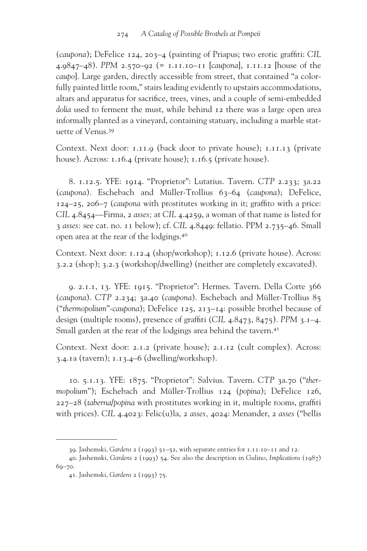(*caupona*); DeFelice 124, 203–4 (painting of Priapus; two erotic graffiti: CIL 4.9847–48). *PPM* 2.570–92 (= 1.11.10–11 [*caupona*], 1.11.12 [house of the *caupo*]. Large garden, directly accessible from street, that contained "a colorfully painted little room," stairs leading evidently to upstairs accommodations, altars and apparatus for sacrifice, trees, vines, and a couple of semi-embedded *dolia* used to ferment the must, while behind 12 there was a large open area informally planted as a vineyard, containing statuary, including a marble statuette of Venus.39

Context. Next door: 1.11.9 (back door to private house); 1.11.13 (private house). Across: 1.16.4 (private house); 1.16.5 (private house).

8. 1.12.5. YFE: 1914. "Proprietor": Lutatius. Tavern. *CTP* 2.233; 3a.22 (*caupona*). Eschebach and Müller-Trollius 63–64 (*caupona*); DeFelice, 124–25, 206–7 (*caupona* with prostitutes working in it; graffito with a price: *CIL* 4.8454—Firma, 2 *asses;* at *CIL* 4.4259, a woman of that name is listed for 3 *asses:* see cat. no. 11 below); cf. *CIL* 4.8449: fellatio. PPM 2.735–46. Small open area at the rear of the lodgings.40

Context. Next door: 1.12.4 (shop/workshop); 1.12.6 (private house). Across: 3.2.2 (shop); 3.2.3 (workshop/dwelling) (neither are completely excavated).

9. 2.1.1, 13. YFE: 1915. "Proprietor": Hermes. Tavern. Della Corte 366 (*caupona*). *CTP* 2.234; 3a.40 (*caupona*). Eschebach and Müller-Trollius 85 ("*thermopolium*"*-caupona*); DeFelice 125, 213–14: possible brothel because of design (multiple rooms), presence of graffiti (*CIL*  $4.8473, 8475$ ). *PPM*  $3.1-4$ . Small garden at the rear of the lodgings area behind the tavern.<sup>41</sup>

Context. Next door: 2.1.2 (private house); 2.1.12 (cult complex). Across: 3.4.1a (tavern); 1.13.4–6 (dwelling/workshop).

10. 5.1.13. YFE: 1875. "Proprietor": Salvius. Tavern. *CTP* 3a.70 ("*thermopolium*"); Eschebach and Müller-Trollius 124 (*popina*); DeFelice 126, 227–28 (*taberna*/popina with prostitutes working in it, multiple rooms, graffiti with prices). *CIL* 4.4023: Felic(u)la, 2 *asses,* 4024: Menander, 2 *asses* ("bellis

<sup>39.</sup> Jashemski, *Gardens* 2 (1993) 51–52, with separate entries for 1.11.10–11 and 12.

<sup>40.</sup> Jashemski, *Gardens* 2 (1993) 54. See also the description in Gulino, *Implications* (1987) 69–70.

<sup>41.</sup> Jashemski, *Gardens* 2 (1993) 75.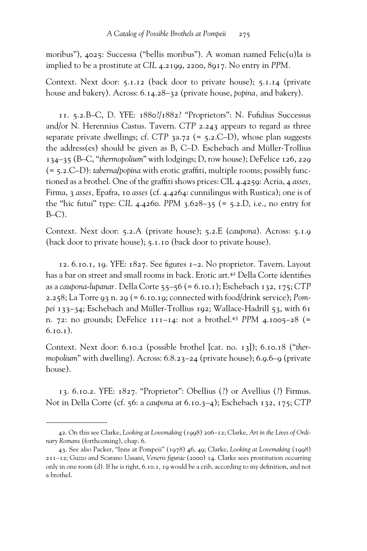moribus"), 4025: Successa ("bellis moribus"). A woman named Felic(u)la is implied to be a prostitute at *CIL* 4.2199, 2200, 8917. No entry in *PPM.*

Context. Next door: 5.1.12 (back door to private house); 5.1.14 (private house and bakery). Across: 6.14.28–32 (private house, *popina,* and bakery).

11. 5.2.B–C, D. YFE: 1880?/1882? "Proprietors": N. Fufidius Successus and/or N. Herennius Castus. Tavern. *CTP* 2.243 appears to regard as three separate private dwellings; cf. *CTP* 3a.72 (= 5.2.C–D), whose plan suggests the address(es) should be given as B, C–D. Eschebach and Müller-Trollius 134–35 (B–C, "*thermopolium*" with lodgings; D, row house); DeFelice 126, 229  $(= 5.2.C–D)$ : *tabernal popina* with erotic graffiti, multiple rooms; possibly functioned as a brothel. One of the graffiti shows prices: CIL 4.4259: Acria, 4 *asses*, Firma, 3 *asses,* Epafra, 10 *asses* (cf. 4.4264: cunnilingus with Rustica); one is of the "hic futui" type: *CIL* 4.4260. *PPM* 3.628–35 (= 5.2.D, i.e., no entry for B–C).

Context. Next door: 5.2.A (private house); 5.2.E (*caupona*). Across: 5.1.9 (back door to private house); 5.1.10 (back door to private house).

12. 6.10.1, 19. YFE:  $1827$ . See figures  $1-2$ . No proprietor. Tavern. Layout has a bar on street and small rooms in back. Erotic art.<sup>42</sup> Della Corte identifies as a *caupona-lupanar.* Della Corte 55–56 (= 6.10.1); Eschebach 132, 175; *CTP* 2.258; La Torre 93 n. 29 (= 6.10.19; connected with food/drink service); *Pompei* 133–34; Eschebach and Müller-Trollius 192; Wallace-Hadrill 53, with 61 n. 72: no grounds; DeFelice 111–14: not a brothel.43 *PPM* 4.1005–28 (=  $6.10.1$ ).

Context. Next door: 6.10.2 (possible brothel [cat. no. 13]); 6.10.18 ("*thermopolium*" with dwelling). Across: 6.8.23–24 (private house); 6.9.6–9 (private house).

13. 6.10.2. YFE: 1827. "Proprietor": Obellius (?) or Avellius (?) Firmus. Not in Della Corte (cf. 56: a *caupona* at 6.10.3–4); Eschebach 132, 175; *CTP*

<sup>42.</sup> On this see Clarke, *Looking at Lovemaking* (1998) 206–12; Clarke, *Art in the Lives of Ordinary Romans* (forthcoming), chap. 6.

<sup>43.</sup> See also Packer, "Inns at Pompeii" (1978) 46, 49; Clarke, *Looking at Lovemaking* (1998) 211–12; Guzzo and Scarano Ussani, *Veneris ‹gurae* (2000) 14. Clarke sees prostitution occurring only in one room (d). If he is right, 6.10.1, 19 would be a crib, according to my definition, and not a brothel.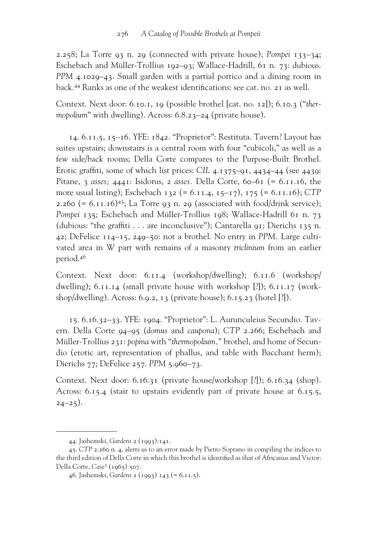2.258; La Torre 93 n. 29 (connected with private house); *Pompei* 133–34; Eschebach and Müller-Trollius 192–93; Wallace-Hadrill, 61 n. 73: dubious. *PPM* 4.1029–43. Small garden with a partial portico and a dining room in back.<sup>44</sup> Ranks as one of the weakest identifications: see cat. no. 21 as well.

Context. Next door: 6.10.1, 19 (possible brothel [cat. no. 12]); 6.10.3 ("*thermopolium*" with dwelling). Across: 6.8.23–24 (private house).

14. 6.11.5, 15–16. YFE: 1842. "Proprietor": Restituta. Tavern? Layout has suites upstairs; downstairs is a central room with four "cubicoli," as well as a few side/back rooms; Della Corte compares to the Purpose-Built Brothel. Erotic graffiti, some of which list prices: CIL  $4.1375-91$ ,  $4434-44$  (see  $4439$ : Pitane, 3 *asses;* 4441: Isidorus, 2 *asses.* Della Corte, 60–61 (= 6.11.16, the more usual listing); Eschebach 132 (= 6.11.4, 15–17), 175 (= 6.11.16); *CTP* 2.260 (=  $6.11.16$ )<sup>45</sup>; La Torre 93 n. 29 (associated with food/drink service); *Pompei* 135; Eschebach and Müller-Trollius 198; Wallace-Hadrill 61 n. 73 (dubious: "the graffiti  $\ldots$  are inconclusive"); Cantarella 91; Dierichs 135 n. 42; DeFelice 114–15, 249–50: not a brothel. No entry in *PPM.* Large cultivated area in W part with remains of a masonry *triclinium* from an earlier period.46

Context. Next door: 6.11.4 (workshop/dwelling); 6.11.6 (workshop/ dwelling); 6.11.14 (small private house with workshop [?]); 6.11.17 (workshop/dwelling). Across: 6.9.2, 13 (private house); 6.15.23 (hotel [?]).

15. 6.16.32–33. YFE: 1904. "Proprietor": L. Aurunculeius Secundio. Tavern. Della Corte 94–95 (*domus* and *caupona*); *CTP* 2.266; Eschebach and Müller-Trollius 231: *popina* with "*thermopolium,*" brothel, and home of Secundio (erotic art, representation of phallus, and table with Bacchant herm); Dierichs 77; DeFelice 257. *PPM* 5.960–73.

Context. Next door: 6.16.31 (private house/workshop [?]); 6.16.34 (shop). Across: 6.15.4 (stair to upstairs evidently part of private house at 6.15.5,  $24 - 25$ ).

<sup>44.</sup> Jashemski, *Gardens* 2 (1993):141.

<sup>45.</sup> *CTP* 2.260 n. 4, alerts us to an error made by Pietro Soprano in compiling the indices to the third edition of Della Corte in which this brothel is identified as that of Africanus and Victor: Della Corte, *Case*<sup>3</sup> (1965) 507.

<sup>46.</sup> Jashemski, *Gardens* 2 (1993) 143 (= 6.11.5).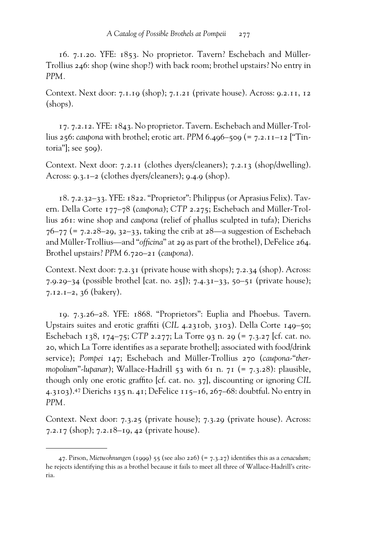16. 7.1.20. YFE: 1853. No proprietor. Tavern? Eschebach and Müller-Trollius 246: shop (wine shop?) with back room; brothel upstairs? No entry in *PPM.*

Context. Next door: 7.1.19 (shop); 7.1.21 (private house). Across: 9.2.11, 12 (shops).

17. 7.2.12. YFE: 1843. No proprietor. Tavern. Eschebach and Müller-Trollius 256: *caupona* with brothel; erotic art. *PPM* 6.496–509 (= 7.2.11–12 ["Tintoria"]; see 509).

Context. Next door: 7.2.11 (clothes dyers/cleaners); 7.2.13 (shop/dwelling). Across: 9.3.1–2 (clothes dyers/cleaners); 9.4.9 (shop).

18. 7.2.32–33. YFE: 1822. "Proprietor": Philippus (or Aprasius Felix). Tavern. Della Corte 177–78 (*caupona*); *CTP* 2.275; Eschebach and Müller-Trollius 261: wine shop and *caupona* (relief of phallus sculpted in tufa); Dierichs  $76-77$  (=  $7.2.28-29$ ,  $32-33$ , taking the crib at  $28$ —a suggestion of Eschebach and Müller-Trollius—and "*officina*" at 29 as part of the brothel), DeFelice 264. Brothel upstairs? *PPM* 6.720–21 (*caupona*).

Context. Next door: 7.2.31 (private house with shops); 7.2.34 (shop). Across: 7.9.29–34 (possible brothel [cat. no. 25]); 7.4.31–33, 50–51 (private house); 7.12.1–2, 36 (bakery).

19. 7.3.26–28. YFE: 1868. "Proprietors": Euplia and Phoebus. Tavern. Upstairs suites and erotic graffiti (CIL 4.2310b, 3103). Della Corte 149-50; Eschebach 138, 174–75; *CTP* 2.277; La Torre 93 n. 29 (= 7.3.27 [cf. cat. no. 20, which La Torre identifies as a separate brothel]; associated with food/drink service); *Pompei* 147; Eschebach and Müller-Trollius 270 (*caupona*-"*thermopolium*"*-lupanar*); Wallace-Hadrill 53 with 61 n. 71 (= 7.3.28): plausible, though only one erotic graffito [cf. cat. no. 37], discounting or ignoring CIL 4.3103).47 Dierichs 135 n. 41; DeFelice 115–16, 267–68: doubtful. No entry in *PPM.*

Context. Next door: 7.3.25 (private house); 7.3.29 (private house). Across: 7.2.17 (shop); 7.2.18–19, 42 (private house).

<sup>47.</sup> Pirson, Mietwohnungen (1999) 55 (see also 226) (= 7.3.27) identifies this as a *cenaculum*; he rejects identifying this as a brothel because it fails to meet all three of Wallace-Hadrill's criteria.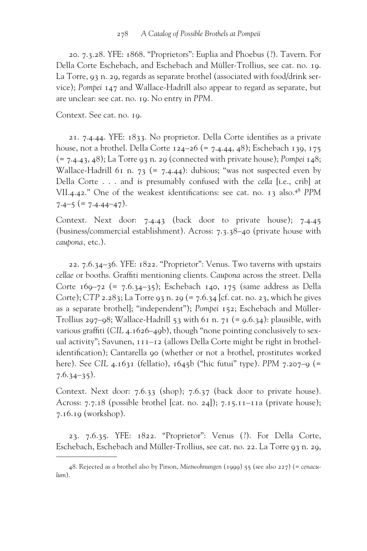20. 7.3.28. YFE: 1868. "Proprietors": Euplia and Phoebus (?). Tavern. For Della Corte Eschebach, and Eschebach and Müller-Trollius, see cat. no. 19. La Torre, 93 n. 29, regards as separate brothel (associated with food/drink service); *Pompei* 147 and Wallace-Hadrill also appear to regard as separate, but are unclear: see cat. no. 19. No entry in *PPM.*

Context. See cat. no. 19.

21.  $7.4.44$ . YFE:  $1833$ . No proprietor. Della Corte identifies as a private house, not a brothel. Della Corte 124–26 (= 7.4.44, 48); Eschebach 139, 175 (= 7.4.43, 48); La Torre 93 n. 29 (connected with private house); *Pompei* 148; Wallace-Hadrill 61 n. 73 (= 7.4.44): dubious; "was not suspected even by Della Corte . . . and is presumably confused with the *cella* [i.e., crib] at VII.4.42." One of the weakest identifications: see cat. no. 13 also.<sup>48</sup> *PPM*  $7.4-5 (= 7.4.44-47).$ 

Context. Next door: 7.4.43 (back door to private house); 7.4.45 (business/commercial establishment). Across: 7.3.38–40 (private house with *caupona,* etc.).

22. 7.6.34–36. YFE: 1822. "Proprietor": Venus. Two taverns with upstairs *cellae* or booths. Graffiti mentioning clients. *Caupona* across the street. Della Corte 169–72 (= 7.6.34–35); Eschebach 140, 175 (same address as Della Corte); *CTP* 2.283; La Torre 93 n. 29 (= 7.6.34 [cf. cat. no. 23, which he gives as a separate brothel]; "independent"); *Pompei* 152; Eschebach and Müller-Trollius 297–98; Wallace-Hadrill 53 with 61 n. 71 (= 9.6.34): plausible, with various graffiti (CIL 4.1626–49b), though "none pointing conclusively to sexual activity"; Savunen, 111–12 (allows Della Corte might be right in brothelidentification); Cantarella 90 (whether or not a brothel, prostitutes worked here). See *CIL* 4.1631 (fellatio), 1645b ("hic futui" type). *PPM* 7.207–9 (=  $7.6.34 - 35$ ).

Context. Next door: 7.6.33 (shop); 7.6.37 (back door to private house). Across: 7.7.18 (possible brothel [cat. no. 24]); 7.15.11–11a (private house); 7.16.19 (workshop).

23. 7.6.35. YFE: 1822. "Proprietor": Venus (?). For Della Corte, Eschebach, Eschebach and Müller-Trollius, see cat. no. 22. La Torre 93 n. 29,

<sup>48.</sup> Rejected as a brothel also by Pirson, *Mietwohnungen* (1999) 55 (see also 227) (= *cenaculum*).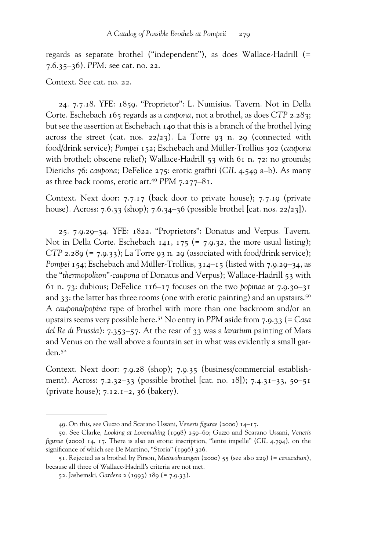regards as separate brothel ("independent"), as does Wallace-Hadrill (= 7.6.35–36). *PPM:* see cat. no. 22.

Context. See cat. no. 22.

24. 7.7.18. YFE: 1859. "Proprietor": L. Numisius. Tavern. Not in Della Corte. Eschebach 165 regards as a *caupona,* not a brothel, as does *CTP* 2.283; but see the assertion at Eschebach 140 that this is a branch of the brothel lying across the street (cat. nos.  $22/23$ ). La Torre 93 n. 29 (connected with food/drink service); *Pompei* 152; Eschebach and Müller-Trollius 302 (*caupona* with brothel; obscene relief); Wallace-Hadrill 53 with 61 n. 72: no grounds; Dierichs 76: *caupona*; DeFelice 275: erotic graffiti (CIL 4.549 a–b). As many as three back rooms, erotic art.49 *PPM* 7.277–81.

Context. Next door: 7.7.17 (back door to private house); 7.7.19 (private house). Across: 7.6.33 (shop); 7.6.34–36 (possible brothel [cat. nos. 22/23]).

25. 7.9.29–34. YFE: 1822. "Proprietors": Donatus and Verpus. Tavern. Not in Della Corte. Eschebach 141, 175 (= 7.9.32, the more usual listing); *CTP* 2.289 (= 7.9.33); La Torre 93 n. 29 (associated with food/drink service); *Pompei* 154; Eschebach and Müller-Trollius, 314–15 (listed with 7.9.29–34, as the "*thermopolium*"*-caupona* of Donatus and Verpus); Wallace-Hadrill 53 with 61 n. 73: dubious; DeFelice 116–17 focuses on the two *popinae* at 7.9.30–31 and 33: the latter has three rooms (one with erotic painting) and an upstairs.<sup>50</sup> A *caupona/popina* type of brothel with more than one backroom and/or an upstairs seems very possible here.51 No entry in *PPM* aside from 7.9.33 (= *Casa del Re di Prussia*): 7.353–57. At the rear of 33 was a *lararium* painting of Mars and Venus on the wall above a fountain set in what was evidently a small garden.52

Context. Next door: 7.9.28 (shop); 7.9.35 (business/commercial establishment). Across: 7.2.32–33 (possible brothel [cat. no. 18]); 7.4.31–33, 50–51 (private house); 7.12.1–2, 36 (bakery).

<sup>49.</sup> On this, see Guzzo and Scarano Ussani, *Veneris ‹gurae* (2000) 14–17.

<sup>50.</sup> See Clarke, *Looking at Lovemaking* (1998) 259–60; Guzzo and Scarano Ussani, *Veneris ‹gurae* (2000) 14, 17. There is also an erotic inscription, "lente impelle" (*CIL* 4.794), on the significance of which see De Martino, "Storia" (1996) 326.

<sup>51.</sup> Rejected as a brothel by Pirson, *Mietwohnungen* (2000) 55 (see also 229) (= *cenaculum*), because all three of Wallace-Hadrill's criteria are not met.

<sup>52.</sup> Jashemski, *Gardens* 2 (1993) 189 (= 7.9.33).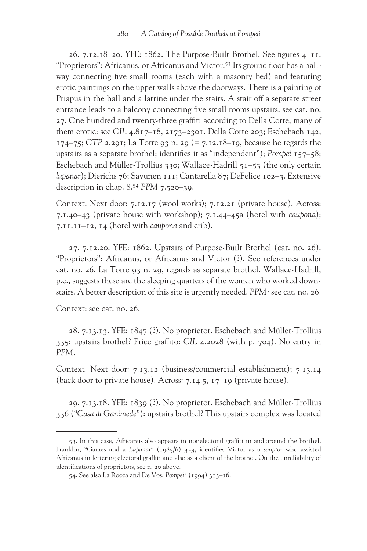$26.$  7.12.18–20. YFE: 1862. The Purpose-Built Brothel. See figures  $4$ –11. "Proprietors": Africanus, or Africanus and Victor.<sup>53</sup> Its ground floor has a hallway connecting five small rooms (each with a masonry bed) and featuring erotic paintings on the upper walls above the doorways. There is a painting of Priapus in the hall and a latrine under the stairs. A stair off a separate street entrance leads to a balcony connecting five small rooms upstairs: see cat. no. 27. One hundred and twenty-three graffiti according to Della Corte, many of them erotic: see *CIL* 4.817–18, 2173–2301. Della Corte 203; Eschebach 142, 174–75; *CTP* 2.291; La Torre 93 n. 29 (= 7.12.18–19, because he regards the upstairs as a separate brothel; identifies it as "independent"); *Pompei* 157–58; Eschebach and Müller-Trollius 330; Wallace-Hadrill 51–53 (the only certain *lupanar*); Dierichs 76; Savunen 111; Cantarella 87; DeFelice 102–3. Extensive description in chap. 8.54 *PPM* 7.520–39.

Context. Next door: 7.12.17 (wool works); 7.12.21 (private house). Across: 7.1.40–43 (private house with workshop); 7.1.44–45a (hotel with *caupona*); 7.11.11–12, 14 (hotel with *caupona* and crib).

27. 7.12.20. YFE: 1862. Upstairs of Purpose-Built Brothel (cat. no. 26). "Proprietors": Africanus, or Africanus and Victor (?). See references under cat. no. 26. La Torre 93 n. 29, regards as separate brothel. Wallace-Hadrill, p.c., suggests these are the sleeping quarters of the women who worked downstairs. A better description of this site is urgently needed. *PPM:* see cat. no. 26.

Context: see cat. no. 26.

28. 7.13.13. YFE: 1847 (?). No proprietor. Eschebach and Müller-Trollius 335: upstairs brothel? Price graffito: *CIL* 4.2028 (with p. 704). No entry in *PPM.*

Context. Next door: 7.13.12 (business/commercial establishment); 7.13.14 (back door to private house). Across: 7.14.5, 17–19 (private house).

29. 7.13.18. YFE: 1839 (?). No proprietor. Eschebach and Müller-Trollius 336 ("*Casa di Ganimede*"): upstairs brothel? This upstairs complex was located

<sup>53.</sup> In this case, Africanus also appears in nonelectoral graffiti in and around the brothel. Franklin, "Games and a *Lupanar*" (1985/6) 323, identifies Victor as a *scriptor* who assisted Africanus in lettering electoral graffiti and also as a client of the brothel. On the unreliability of identifications of proprietors, see n. 20 above.

<sup>54.</sup> See also La Rocca and De Vos, *Pompei*<sup>2</sup> (1994) 313–16.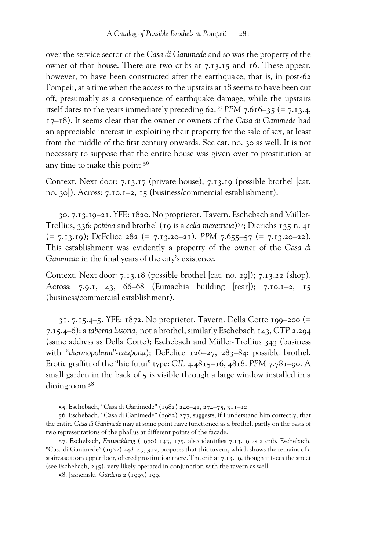over the service sector of the *Casa di Ganimede* and so was the property of the owner of that house. There are two cribs at 7.13.15 and 16. These appear, however, to have been constructed after the earthquake, that is, in post-62 Pompeii, at a time when the access to the upstairs at 18 seems to have been cut off, presumably as a consequence of earthquake damage, while the upstairs itself dates to the years immediately preceding  $62.55$  *PPM*  $7.616 - 35$  (=  $7.13.4$ , 17–18). It seems clear that the owner or owners of the *Casa di Ganimede* had an appreciable interest in exploiting their property for the sale of sex, at least from the middle of the first century onwards. See cat. no. 30 as well. It is not necessary to suppose that the entire house was given over to prostitution at any time to make this point.56

Context. Next door: 7.13.17 (private house); 7.13.19 (possible brothel [cat. no. 30]). Across: 7.10.1–2, 15 (business/commercial establishment).

30. 7.13.19–21. YFE: 1820. No proprietor. Tavern. Eschebach and Müller-Trollius, 336: *popina* and brothel (19 is a *cella meretricia*)57; Dierichs 135 n. 41 (= 7.13.19); DeFelice 282 (= 7.13.20–21). *PPM* 7.655–57 (= 7.13.20–22). This establishment was evidently a property of the owner of the *Casa di Ganimede* in the final years of the city's existence.

Context. Next door: 7.13.18 (possible brothel [cat. no. 29]); 7.13.22 (shop). Across: 7.9.1, 43, 66–68 (Eumachia building [rear]); 7.10.1–2, 15 (business/commercial establishment).

31. 7.15.4–5. YFE: 1872. No proprietor. Tavern. Della Corte 199–200 (= 7.15.4–6): a *taberna lusoria,* not a brothel, similarly Eschebach 143, *CTP* 2.294 (same address as Della Corte); Eschebach and Müller-Trollius 343 (business with "*thermopolium*"*-caupona*); DeFelice 126–27, 283–84: possible brothel. Erotic graffiti of the "hic futui" type: CIL  $4.4815 - 16$ ,  $4818$ . *PPM*  $7.781 - 90$ . A small garden in the back of 5 is visible through a large window installed in a diningroom.<sup>58</sup>

<sup>55.</sup> Eschebach, "Casa di Ganimede" (1982) 240–41, 274–75, 311–12.

<sup>56.</sup> Eschebach, "Casa di Ganimede" (1982) 277, suggests, if I understand him correctly, that the entire *Casa di Ganimede* may at some point have functioned as a brothel, partly on the basis of two representations of the phallus at different points of the facade.

<sup>57.</sup> Eschebach, *Entwicklung* (1970) 143, 175, also identifies 7.13.19 as a crib. Eschebach, "Casa di Ganimede"  $(1982)$  248–49, 312, proposes that this tavern, which shows the remains of a staircase to an upper floor, offered prostitution there. The crib at 7.13.19, though it faces the street (see Eschebach, 245), very likely operated in conjunction with the tavern as well.

<sup>58.</sup> Jashemski, *Gardens* 2 (1993) 199.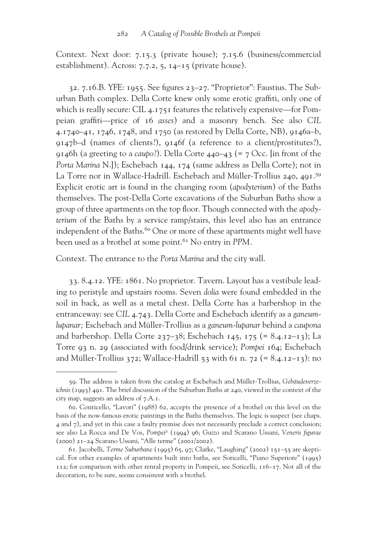Context. Next door: 7.15.3 (private house); 7.15.6 (business/commercial establishment). Across: 7.7.2, 5, 14–15 (private house).

 $32.7.16.B. YFE: 1955.$  See figures  $23-27.$  "Proprietor": Faustius. The Suburban Bath complex. Della Corte knew only some erotic graffiti, only one of which is really secure: CIL 4.1751 features the relatively expensive—for Pompeian graffiti—price of 16 *asses*) and a masonry bench. See also CIL 4.1740–41, 1746, 1748, and 1750 (as restored by Della Corte, NB), 9146a–b, 9147b–d (names of clients?), 9146f (a reference to a client/prostitutes?), 9146h (a greeting to a *caupo*?). Della Corte 440–43 (= 7 Occ. [in front of the *Porta Marina* N.]); Eschebach 144, 174 (same address as Della Corte); not in La Torre nor in Wallace-Hadrill. Eschebach and Müller-Trollius 240, 491.59 Explicit erotic art is found in the changing room (*apodyterium*) of the Baths themselves. The post-Della Corte excavations of the Suburban Baths show a group of three apartments on the top floor. Though connected with the *apodyterium* of the Baths by a service ramp/stairs, this level also has an entrance independent of the Baths.<sup>60</sup> One or more of these apartments might well have been used as a brothel at some point.61 No entry in *PPM.*

Context. The entrance to the *Porta Marina* and the city wall.

33. 8.4.12. YFE: 1861. No proprietor. Tavern. Layout has a vestibule leading to peristyle and upstairs rooms. Seven *dolia* were found embedded in the soil in back, as well as a metal chest. Della Corte has a barbershop in the entranceway: see *CIL* 4.743. Della Corte and Eschebach identify as a *ganeumlupanar;* Eschebach and Müller-Trollius as a *ganeum-lupanar* behind a *caupona* and barbershop. Della Corte 237–38; Eschebach 145, 175 (= 8.4.12–13); La Torre 93 n. 29 (associated with food/drink service); *Pompei* 164; Eschebach and Müller-Trollius 372; Wallace-Hadrill 53 with 61 n. 72 (= 8.4.12–13): no

<sup>59.</sup> The address is taken from the catalog at Eschebach and Müller-Trollius, *Gebäudeverzeichnis* (1993) 491. The brief discussion of the Suburban Baths at 240, viewed in the context of the city map, suggests an address of 7.A.1.

<sup>60.</sup> Conticello, "Lavori" (1988) 62, accepts the presence of a brothel on this level on the basis of the now-famous erotic paintings in the Baths themselves. The logic is suspect (see chaps. 4 and 7), and yet in this case a faulty premise does not necessarily preclude a correct conclusion; see also La Rocca and De Vos, Pompei<sup>2</sup> (1994) 96; Guzzo and Scarano Ussani, Veneris figurae (2000) 21–24 Scarano Ussani, "Alle terme" (2001/2002).

<sup>61.</sup> Jacobelli, *Terme Suburbane* (1995) 65, 97; Clarke, "Laughing" (2002) 151–55 are skeptical. For other examples of apartments built into baths, see Soricelli, "Piano Superiore" (1995) 112; for comparison with other rental property in Pompeii, see Soricelli, 116–17. Not all of the decoration, to be sure, seems consistent with a brothel.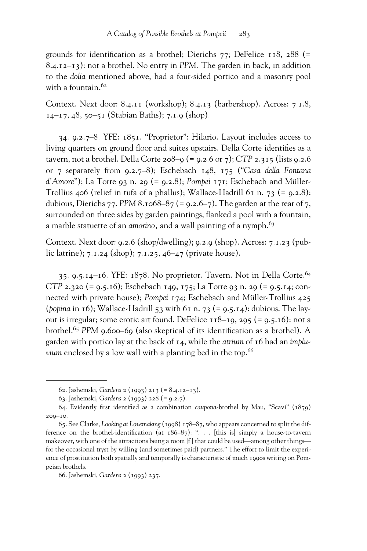grounds for identification as a brothel; Dierichs  $77$ ; DeFelice 118, 288 (= 8.4.12–13): not a brothel. No entry in *PPM.* The garden in back, in addition to the *dolia* mentioned above, had a four-sided portico and a masonry pool with a fountain.<sup>62</sup>

Context. Next door: 8.4.11 (workshop); 8.4.13 (barbershop). Across: 7.1.8, 14–17, 48, 50–51 (Stabian Baths); 7.1.9 (shop).

34. 9.2.7–8. YFE: 1851. "Proprietor": Hilario. Layout includes access to living quarters on ground floor and suites upstairs. Della Corte identifies as a tavern, not a brothel. Della Corte 208–9 (= 9.2.6 or 7); *CTP* 2.315 (lists 9.2.6 or 7 separately from 9.2.7–8); Eschebach 148, 175 ("*Casa della Fontana d'Amore*"); La Torre 93 n. 29 (= 9.2.8); *Pompei* 171; Eschebach and Müller-Trollius 406 (relief in tufa of a phallus); Wallace-Hadrill 61 n.  $73$  (= 9.2.8): dubious, Dierichs 77. *PPM* 8.1068–87 (= 9.2.6–7). The garden at the rear of 7, surrounded on three sides by garden paintings, flanked a pool with a fountain, a marble statuette of an *amorino*, and a wall painting of a nymph.<sup>63</sup>

Context. Next door: 9.2.6 (shop/dwelling); 9.2.9 (shop). Across: 7.1.23 (public latrine); 7.1.24 (shop); 7.1.25, 46–47 (private house).

35.  $9.5.14$ –16. YFE: 1878. No proprietor. Tavern. Not in Della Corte.<sup>64</sup> *CTP* 2.320 (= 9.5.16); Eschebach 149, 175; La Torre 93 n. 29 (= 9.5.14; connected with private house); *Pompei* 174; Eschebach and Müller-Trollius 425 (*popina* in 16); Wallace-Hadrill 53 with 61 n. 73 (=  $9.5.14$ ): dubious. The layout is irregular; some erotic art found. DeFelice  $118-19$ ,  $295 (= 9.5.16)$ : not a brothel.<sup>65</sup> *PPM* 9.600–69 (also skeptical of its identification as a brothel). A garden with portico lay at the back of 14, while the *atrium* of 16 had an *impluvium* enclosed by a low wall with a planting bed in the top.<sup>66</sup>

<sup>62.</sup> Jashemski, *Gardens* 2 (1993) 213 (= 8.4.12–13).

<sup>63.</sup> Jashemski, *Gardens* 2 (1993) 228 (= 9.2.7).

<sup>64.</sup> Evidently first identified as a combination *caupona*-brothel by Mau, "Scavi" (1879) 209–10.

<sup>65.</sup> See Clarke, *Looking at Lovemaking* (1998) 178–87, who appears concerned to split the difference on the brothel-identification (at  $186-87$ ): ". . . [this is] simply a house-to-tavern makeover, with one of the attractions being a room  $[f]$  that could be used—among other things for the occasional tryst by willing (and sometimes paid) partners." The effort to limit the experience of prostitution both spatially and temporally is characteristic of much 1990s writing on Pompeian brothels.

<sup>66.</sup> Jashemski, *Gardens* 2 (1993) 237.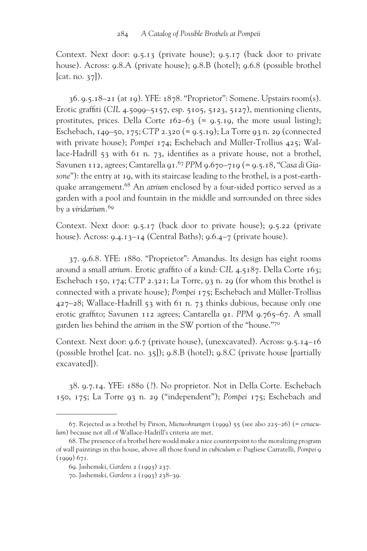Context. Next door: 9.5.13 (private house); 9.5.17 (back door to private house). Across: 9.8.A (private house); 9.8.B (hotel); 9.6.8 (possible brothel  $[cat. no. 37]$ .

36. 9.5.18–21 (at 19). YFE: 1878. "Proprietor": Somene. Upstairs room(s). Erotic graffiti (*CIL* 4.5099–5157, esp. 5105, 5123, 5127), mentioning clients, prostitutes, prices. Della Corte  $162-63$  (= 9.5.19, the more usual listing); Eschebach, 149–50, 175; *CTP* 2.320 (= 9.5.19); La Torre 93 n. 29 (connected with private house); *Pompei* 174; Eschebach and Müller-Trollius 425; Wallace-Hadrill  $53$  with 61 n. 73, identifies as a private house, not a brothel, Savunen 112, agrees; Cantarella 91.67 *PPM* 9.670–719 (= 9.5.18, "*Casa di Giasone*"): the entry at 19, with its staircase leading to the brothel, is a post-earthquake arrangement.68 An *atrium* enclosed by a four-sided portico served as a garden with a pool and fountain in the middle and surrounded on three sides by a *viridarium.*<sup>69</sup>

Context. Next door: 9.5.17 (back door to private house); 9.5.22 (private house). Across: 9.4.13–14 (Central Baths); 9.6.4–7 (private house).

37. 9.6.8. YFE: 1880. "Proprietor": Amandus. Its design has eight rooms around a small *atrium*. Erotic graffito of a kind: CIL 4.5187. Della Corte 163; Eschebach 150, 174; *CTP* 2.321; La Torre, 93 n. 29 (for whom this brothel is connected with a private house); *Pompei* 175; Eschebach and Müller-Trollius 427–28; Wallace-Hadrill 53 with 61 n. 73 thinks dubious, because only one erotic graffito; Savunen 112 agrees; Cantarella 91. *PPM* 9.765–67. A small garden lies behind the *atrium* in the SW portion of the "house."70

Context. Next door: 9.6.7 (private house), (unexcavated). Across: 9.5.14–16 (possible brothel [cat. no. 35]); 9.8.B (hotel); 9.8.C (private house [partially excavated]).

38. 9.7.14. YFE: 1880 (?). No proprietor. Not in Della Corte. Eschebach 150, 175; La Torre 93 n. 29 ("independent"); *Pompei* 175; Eschebach and

<sup>67.</sup> Rejected as a brothel by Pirson, *Mietwohnungen* (1999) 55 (see also 225–26) (= *cenaculum*) because not all of Wallace-Hadrill's criteria are met.

<sup>68.</sup> The presence of a brothel here would make a nice counterpoint to the moralizing program of wall paintings in this house, above all those found in *cubiculum* e: Pugliese Carratelli, *Pompei* 9 (1999) 671.

<sup>69.</sup> Jashemski, *Gardens* 2 (1993) 237.

<sup>70.</sup> Jashemski, *Gardens* 2 (1993) 238–39.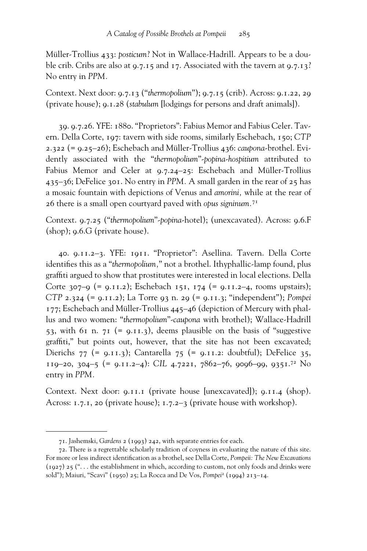Müller-Trollius 433: *posticum*? Not in Wallace-Hadrill. Appears to be a double crib. Cribs are also at 9.7.15 and 17. Associated with the tavern at 9.7.13? No entry in *PPM.*

Context. Next door: 9.7.13 ("*thermopolium*"); 9.7.15 (crib). Across: 9.1.22, 29 (private house); 9.1.28 (*stabulum* [lodgings for persons and draft animals]).

39. 9.7.26. YFE: 1880. "Proprietors": Fabius Memor and Fabius Celer. Tavern. Della Corte, 197: tavern with side rooms, similarly Eschebach, 150; *CTP* 2.322 (= 9.25–26); Eschebach and Müller-Trollius 436: *caupona*-brothel. Evidently associated with the "*thermopolium*"*-popina*-*hospitium* attributed to Fabius Memor and Celer at 9.7.24–25: Eschebach and Müller-Trollius 435–36; DeFelice 301. No entry in *PPM.* A small garden in the rear of 25 has a mosaic fountain with depictions of Venus and *amorini,* while at the rear of 26 there is a small open courtyard paved with *opus signinum.*<sup>71</sup>

Context. 9.7.25 ("*thermopolium*"*-popina*-hotel); (unexcavated). Across: 9.6.F (shop); 9.6.G (private house).

40. 9.11.2–3. YFE: 1911. "Proprietor": Asellina. Tavern. Della Corte identifies this as a "*thermopolium*," not a brothel. Ithyphallic-lamp found, plus graffiti argued to show that prostitutes were interested in local elections. Della Corte 307–9 (= 9.11.2); Eschebach 151, 174 (= 9.11.2–4, rooms upstairs); *CTP* 2.324 (= 9.11.2); La Torre 93 n. 29 (= 9.11.3; "independent"); *Pompei* 177; Eschebach and Müller-Trollius 445–46 (depiction of Mercury with phallus and two women: "*thermopolium*"*-caupona* with brothel); Wallace-Hadrill 53, with 61 n.  $7I$  (=  $9.11.3$ ), deems plausible on the basis of "suggestive" graffiti," but points out, however, that the site has not been excavated; Dierichs  $77$  (= 9.11.3); Cantarella  $75$  (= 9.11.2: doubtful); DeFelice 35, 119–20, 304–5 (= 9.11.2–4): *CIL* 4.7221, 7862–76, 9096–99, 9351.72 No entry in *PPM.*

Context. Next door: 9.11.1 (private house [unexcavated]); 9.11.4 (shop). Across: 1.7.1, 20 (private house); 1.7.2–3 (private house with workshop).

<sup>71.</sup> Jashemski, *Gardens* 2 (1993) 242, with separate entries for each.

<sup>72.</sup> There is a regrettable scholarly tradition of coyness in evaluating the nature of this site. For more or less indirect identification as a brothel, see Della Corte, *Pompeii: The New Excavations*  $(1927)$  25 ("... the establishment in which, according to custom, not only foods and drinks were sold"); Maiuri, "Scavi" (1950) 25; La Rocca and De Vos, *Pompei*<sup>2</sup> (1994) 213–14.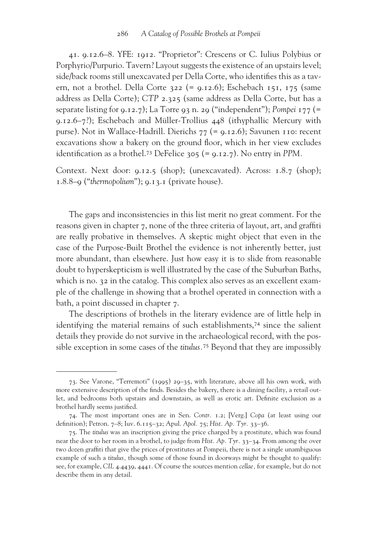41. 9.12.6–8. YFE: 1912. "Proprietor": Crescens or C. Iulius Polybius or Porphyrio/Purpurio. Tavern? Layout suggests the existence of an upstairs level; side/back rooms still unexcavated per Della Corte, who identifies this as a tavern, not a brothel. Della Corte 322 (= 9.12.6); Eschebach 151, 175 (same address as Della Corte); *CTP* 2.325 (same address as Della Corte, but has a separate listing for 9.12.7); La Torre 93 n. 29 ("independent"); *Pompei* 177 (= 9.12.6–7?); Eschebach and Müller-Trollius 448 (ithyphallic Mercury with purse). Not in Wallace-Hadrill. Dierichs 77 (= 9.12.6); Savunen 110: recent excavations show a bakery on the ground floor, which in her view excludes identification as a brothel.<sup>73</sup> DeFelice  $305$  (=  $0.12.7$ ). No entry in *PPM*.

Context. Next door: 9.12.5 (shop); (unexcavated). Across: 1.8.7 (shop); 1.8.8–9 ("*thermopolium*"); 9.13.1 (private house).

The gaps and inconsistencies in this list merit no great comment. For the reasons given in chapter 7, none of the three criteria of layout, art, and graffiti are really probative in themselves. A skeptic might object that even in the case of the Purpose-Built Brothel the evidence is not inherently better, just more abundant, than elsewhere. Just how easy it is to slide from reasonable doubt to hyperskepticism is well illustrated by the case of the Suburban Baths, which is no. 32 in the catalog. This complex also serves as an excellent example of the challenge in showing that a brothel operated in connection with a bath, a point discussed in chapter 7.

The descriptions of brothels in the literary evidence are of little help in identifying the material remains of such establishments,74 since the salient details they provide do not survive in the archaeological record, with the possible exception in some cases of the *titulus.*<sup>75</sup> Beyond that they are impossibly

<sup>73.</sup> See Varone, "Terremoti" (1995) 29–35, with literature, above all his own work, with more extensive description of the finds. Besides the bakery, there is a dining facility, a retail outlet, and bedrooms both upstairs and downstairs, as well as erotic art. Definite exclusion as a brothel hardly seems justified.

<sup>74.</sup> The most important ones are in Sen. *Contr.* 1.2; [Verg.] *Copa* (at least using our definition); Petron. 7–8; Iuv. 6.115–32; Apul. *Apol.* 75; *Hist. Ap. Tyr.* 33–36.

<sup>75.</sup> The *titulus* was an inscription giving the price charged by a prostitute, which was found near the door to her room in a brothel, to judge from *Hist. Ap. Tyr.* 33–34. From among the over two dozen graffiti that give the prices of prostitutes at Pompeii, there is not a single unambiguous example of such a *titulus,* though some of those found in doorways might be thought to qualify: see, for example, *CIL* 4.4439, 4441. Of course the sources mention *cellae,* for example, but do not describe them in any detail.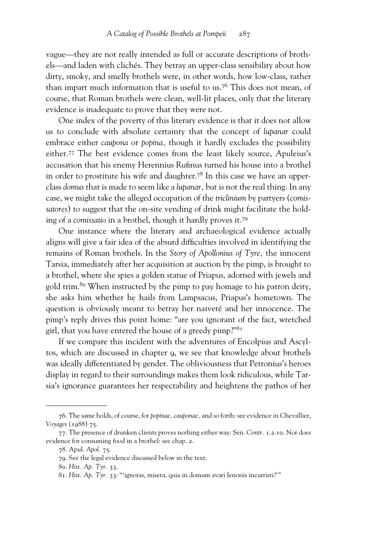vague—they are not really intended as full or accurate descriptions of brothels—and laden with clichés. They betray an upper-class sensibility about how dirty, smoky, and smelly brothels were, in other words, how low-class, rather than impart much information that is useful to us.<sup>76</sup> This does not mean, of course, that Roman brothels were clean, well-lit places, only that the literary evidence is inadequate to prove that they were not.

One index of the poverty of this literary evidence is that it does not allow us to conclude with absolute certainty that the concept of *lupanar* could embrace either *caupona* or *popina,* though it hardly excludes the possibility either.77 The best evidence comes from the least likely source, Apuleius's accusation that his enemy Herennius Rufinus turned his house into a brothel in order to prostitute his wife and daughter. $7<sup>8</sup>$  In this case we have an upperclass *domus* that is made to seem like a *lupanar,* but is not the real thing. In any case, we might take the alleged occupation of the *triclinium* by partyers (*comissatores*) to suggest that the on-site vending of drink might facilitate the holding of a *comissatio* in a brothel, though it hardly proves it.79

One instance where the literary and archaeological evidence actually aligns will give a fair idea of the absurd difficulties involved in identifying the remains of Roman brothels. In the *Story of Apollonius of Tyre,* the innocent Tarsia, immediately after her acquisition at auction by the pimp, is brought to a brothel, where she spies a golden statue of Priapus, adorned with jewels and gold trim.<sup>80</sup> When instructed by the pimp to pay homage to his patron deity, she asks him whether he hails from Lampsacus, Priapus's hometown. The question is obviously meant to betray her naiveté and her innocence. The pimp's reply drives this point home: "are you ignorant of the fact, wretched girl, that you have entered the house of a greedy pimp?"81

If we compare this incident with the adventures of Encolpius and Ascyltos, which are discussed in chapter 9, we see that knowledge about brothels was ideally differentiated by gender. The obliviousness that Petronius's heroes display in regard to their surroundings makes them look ridiculous, while Tarsia's ignorance guarantees her respectability and heightens the pathos of her

<sup>76.</sup> The same holds, of course, for *popinae, cauponae,* and so forth: see evidence in Chevallier, *Voyages* (1988) 75.

<sup>77.</sup> The presence of drunken clients proves nothing either way: Sen. *Contr.* 1.2.10. Nor does evidence for consuming food in a brothel: see chap. 2.

<sup>78.</sup> Apul. *Apol.* 75.

<sup>79.</sup> See the legal evidence discussed below in the text.

<sup>80.</sup> *Hist. Ap. Tyr.* 33.

<sup>81.</sup> *Hist. Ap. Tyr.* 33: "'ignoras, misera, quia in domum avari lenonis incurristi?'"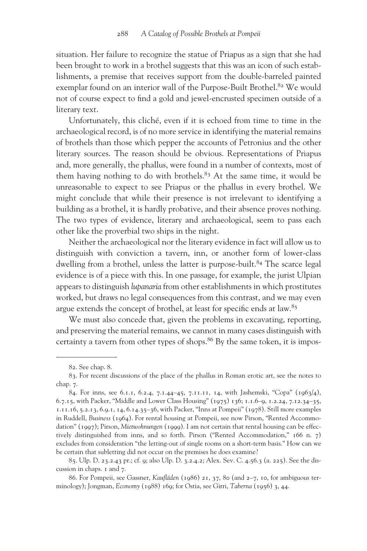situation. Her failure to recognize the statue of Priapus as a sign that she had been brought to work in a brothel suggests that this was an icon of such establishments, a premise that receives support from the double-barreled painted exemplar found on an interior wall of the Purpose-Built Brothel.<sup>82</sup> We would not of course expect to find a gold and jewel-encrusted specimen outside of a literary text.

Unfortunately, this cliché, even if it is echoed from time to time in the archaeological record, is of no more service in identifying the material remains of brothels than those which pepper the accounts of Petronius and the other literary sources. The reason should be obvious. Representations of Priapus and, more generally, the phallus, were found in a number of contexts, most of them having nothing to do with brothels. $83$  At the same time, it would be unreasonable to expect to see Priapus or the phallus in every brothel. We might conclude that while their presence is not irrelevant to identifying a building as a brothel, it is hardly probative, and their absence proves nothing. The two types of evidence, literary and archaeological, seem to pass each other like the proverbial two ships in the night.

Neither the archaeological nor the literary evidence in fact will allow us to distinguish with conviction a tavern, inn, or another form of lower-class dwelling from a brothel, unless the latter is purpose-built.<sup>84</sup> The scarce legal evidence is of a piece with this. In one passage, for example, the jurist Ulpian appears to distinguish *lupanaria* from other establishments in which prostitutes worked, but draws no legal consequences from this contrast, and we may even argue extends the concept of brothel, at least for specific ends at law.<sup>85</sup>

We must also concede that, given the problems in excavating, reporting, and preserving the material remains, we cannot in many cases distinguish with certainty a tavern from other types of shops.<sup>86</sup> By the same token, it is impos-

85. Ulp. D. 23.2.43 pr.; cf. 9; also Ulp. D. 3.2.4.2; Alex. Sev. C. 4.56.3 (a. 225). See the discussion in chaps. 1 and 7.

86. For Pompeii, see Gassner, *Kau݊den* (1986) 21, 37, 80 (and 2–7, 10, for ambiguous terminology); Jongman, *Economy* (1988) 169; for Ostia, see Girri, *Taberna* (1956) 3, 44.

<sup>82.</sup> See chap. 8.

<sup>83.</sup> For recent discussions of the place of the phallus in Roman erotic art, see the notes to chap. 7.

<sup>84.</sup> For inns, see 6.1.1, 6.2.4, 7.1.44–45, 7.11.11, 14, with Jashemski, "Copa" (1963/4), 6.7.15, with Packer, "Middle and Lower Class Housing" (1975) 136; 1.1.6–9, 1.2.24, 7.12.34–35, 1.11.16, 5.2.13, 6.9.1, 14, 6.14.35–36, with Packer, "Inns at Pompeii" (1978). Still more examples in Ruddell, *Business* (1964). For rental housing at Pompeii, see now Pirson, "Rented Accommodation" (1997); Pirson, *Mietwohnungen* (1999). I am not certain that rental housing can be effectively distinguished from inns, and so forth. Pirson ("Rented Accommodation," 166 n. 7) excludes from consideration "the letting-out of single rooms on a short-term basis." How can we be certain that subletting did not occur on the premises he does examine?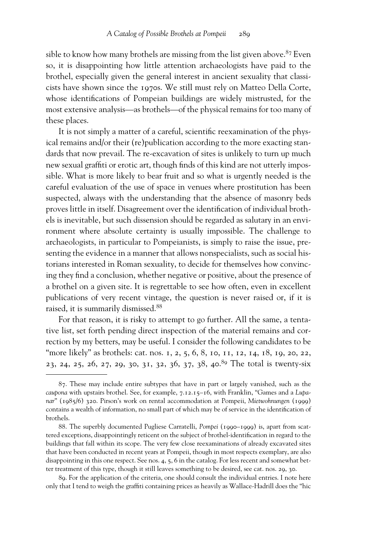sible to know how many brothels are missing from the list given above.<sup>87</sup> Even so, it is disappointing how little attention archaeologists have paid to the brothel, especially given the general interest in ancient sexuality that classicists have shown since the 1970s. We still must rely on Matteo Della Corte, whose identifications of Pompeian buildings are widely mistrusted, for the most extensive analysis—as brothels—of the physical remains for too many of these places.

It is not simply a matter of a careful, scientific reexamination of the physical remains and/or their (re)publication according to the more exacting standards that now prevail. The re-excavation of sites is unlikely to turn up much new sexual graffiti or erotic art, though finds of this kind are not utterly impossible. What is more likely to bear fruit and so what is urgently needed is the careful evaluation of the use of space in venues where prostitution has been suspected, always with the understanding that the absence of masonry beds proves little in itself. Disagreement over the identification of individual brothels is inevitable, but such dissension should be regarded as salutary in an environment where absolute certainty is usually impossible. The challenge to archaeologists, in particular to Pompeianists, is simply to raise the issue, presenting the evidence in a manner that allows nonspecialists, such as social historians interested in Roman sexuality, to decide for themselves how convincing they find a conclusion, whether negative or positive, about the presence of a brothel on a given site. It is regrettable to see how often, even in excellent publications of very recent vintage, the question is never raised or, if it is raised, it is summarily dismissed.<sup>88</sup>

For that reason, it is risky to attempt to go further. All the same, a tentative list, set forth pending direct inspection of the material remains and correction by my betters, may be useful. I consider the following candidates to be "more likely" as brothels: cat. nos. 1, 2, 5, 6, 8, 10, 11, 12, 14, 18, 19, 20, 22, 23, 24, 25, 26, 27, 29, 30, 31, 32, 36, 37, 38, 40.<sup>89</sup> The total is twenty-six

89. For the application of the criteria, one should consult the individual entries. I note here only that I tend to weigh the graffiti containing prices as heavily as Wallace-Hadrill does the "hic

<sup>87.</sup> These may include entire subtypes that have in part or largely vanished, such as the *caupona* with upstairs brothel. See, for example, 7.12.15–16, with Franklin, "Games and a *Lupanar*" (1985/6) 320. Pirson's work on rental accommodation at Pompeii, *Mietwohnungen* (1999) contains a wealth of information, no small part of which may be of service in the identification of brothels.

<sup>88.</sup> The superbly documented Pugliese Carratelli, *Pompei* (1990–1999) is, apart from scattered exceptions, disappointingly reticent on the subject of brothel-identification in regard to the buildings that fall within its scope. The very few close reexaminations of already excavated sites that have been conducted in recent years at Pompeii, though in most respects exemplary, are also disappointing in this one respect. See nos. 4, 5, 6 in the catalog. For less recent and somewhat better treatment of this type, though it still leaves something to be desired, see cat. nos. 29, 30.